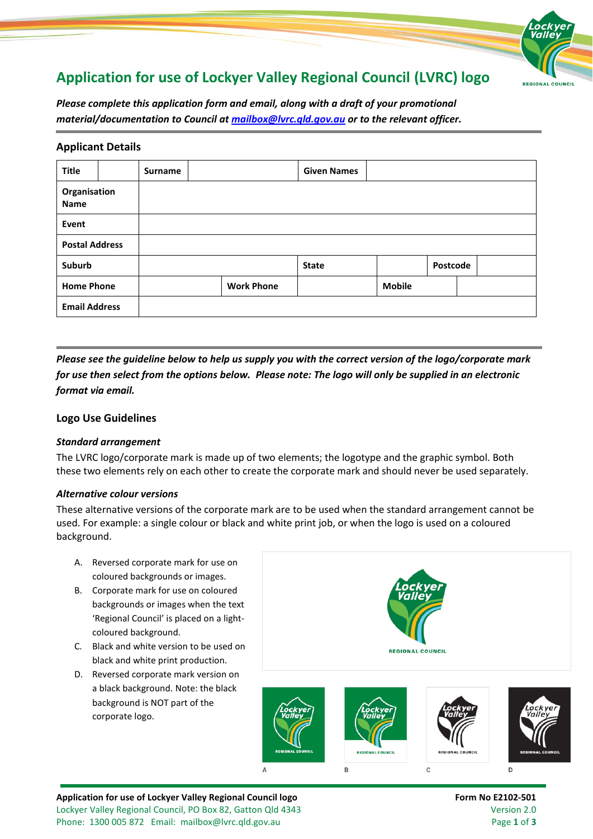# **Application for use of Lockyer Valley Regional Council (LVRC) logo**



*Please complete this application form and email, along with a draft of your promotional material/documentation to Council at [mailbox@lvrc.qld.gov.au](mailto:mailbox@lvrc.qld.gov.au) or to the relevant officer.*

## **Applicant Details**

| <b>Title</b>                |  | <b>Surname</b> |                   | <b>Given Names</b> |               |          |
|-----------------------------|--|----------------|-------------------|--------------------|---------------|----------|
| Organisation<br><b>Name</b> |  |                |                   |                    |               |          |
| Event                       |  |                |                   |                    |               |          |
| <b>Postal Address</b>       |  |                |                   |                    |               |          |
| Suburb                      |  |                |                   | <b>State</b>       |               | Postcode |
| <b>Home Phone</b>           |  |                | <b>Work Phone</b> |                    | <b>Mobile</b> |          |
| <b>Email Address</b>        |  |                |                   |                    |               |          |

*Please see the guideline below to help us supply you with the correct version of the logo/corporate mark for use then select from the options below. Please note: The logo will only be supplied in an electronic format via email.*

## **Logo Use Guidelines**

### *Standard arrangement*

The LVRC logo/corporate mark is made up of two elements; the logotype and the graphic symbol. Both these two elements rely on each other to create the corporate mark and should never be used separately.

### *Alternative colour versions*

These alternative versions of the corporate mark are to be used when the standard arrangement cannot be used. For example: a single colour or black and white print job, or when the logo is used on a coloured background.

 $\overline{B}$ 

A. Reversed corporate mark for use on coloured backgrounds or images. B. Corporate mark for use on coloured backgrounds or images when the text 'Regional Council' is placed on a lightcoloured background. C. Black and white version to be used on **REGIONAL COUNCIL** black and white print production. D. Reversed corporate mark version on a black background. Note: the black background is NOT part of the corporate logo.

 $\overline{A}$ 



Application for use of Lockyer Valley Regional Council logo **Form 10 and 10 and 10** Form No E2102-501 Lockyer Valley Regional Council, PO Box 82, Gatton Qld 4343 Version 2.0 Phone: 1300 005 872 Email: [mailbox@lvrc.qld.gov.au](mailto:mailbox@lvrc.qld.gov.au) Page **1** of **3**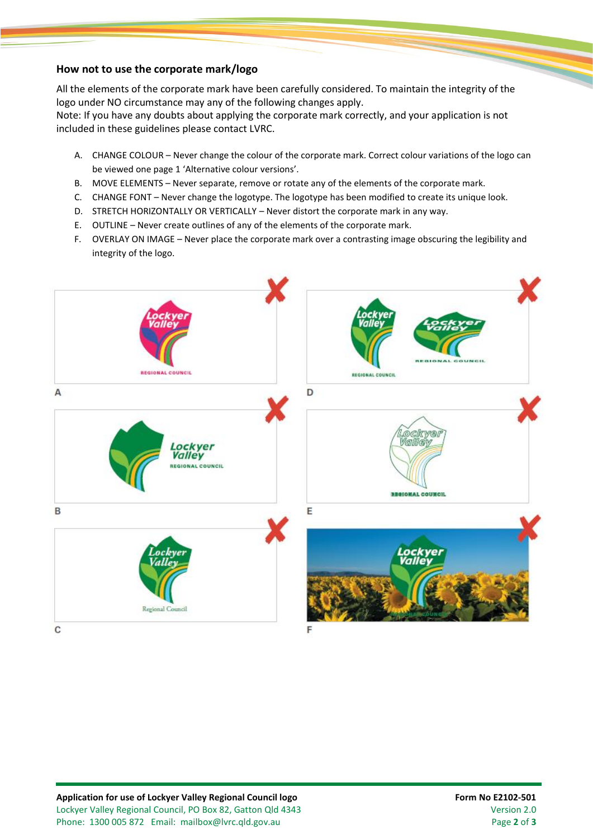#### **How not to use the corporate mark/logo**

All the elements of the corporate mark have been carefully considered. To maintain the integrity of the logo under NO circumstance may any of the following changes apply.

Note: If you have any doubts about applying the corporate mark correctly, and your application is not included in these guidelines please contact LVRC.

- A. CHANGE COLOUR Never change the colour of the corporate mark. Correct colour variations of the logo can be viewed one page 1 'Alternative colour versions'.
- B. MOVE ELEMENTS Never separate, remove or rotate any of the elements of the corporate mark.
- C. CHANGE FONT Never change the logotype. The logotype has been modified to create its unique look.
- D. STRETCH HORIZONTALLY OR VERTICALLY Never distort the corporate mark in any way.
- E. OUTLINE Never create outlines of any of the elements of the corporate mark.
- F. OVERLAY ON IMAGE Never place the corporate mark over a contrasting image obscuring the legibility and integrity of the logo.